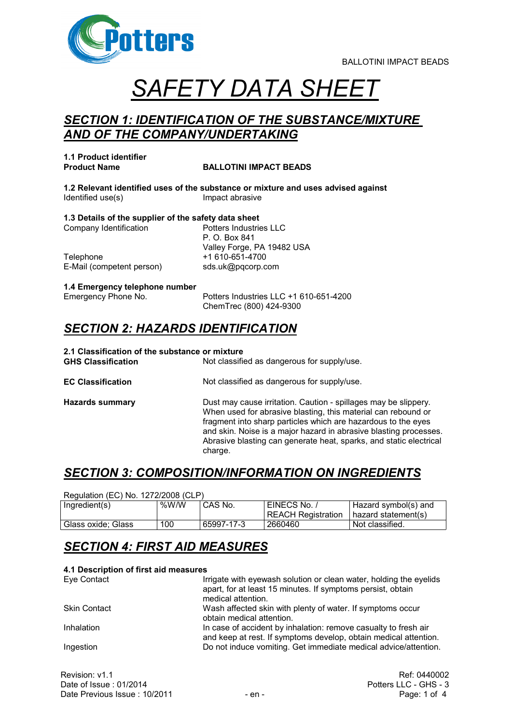

# *SAFETY DATA SHEET*

### *SECTION 1: IDENTIFICATION OF THE SUBSTANCE/MIXTURE AND OF THE COMPANY/UNDERTAKING*

**1.1 Product identifier**

#### **BALLOTINI IMPACT BEADS**

**1.2 Relevant identified uses of the substance or mixture and uses advised against** Identified use(s) letter the large large density in the large large large large large large large large large large large large large large large large large large large large large large large large large large large larg

**1.3 Details of the supplier of the safety data sheet** Company Identification Potters Industries LLC P. O. Box 841

Telephone +1 610-651-4700 E-Mail (competent person) sds.uk@pqcorp.com

Valley Forge, PA 19482 USA

### **1.4 Emergency telephone number**

Emergency Phone No. Potters Industries LLC +1 610-651-4200 ChemTrec (800) 424-9300

### *SECTION 2: HAZARDS IDENTIFICATION*

| 2.1 Classification of the substance or mixture<br><b>GHS Classification</b> | Not classified as dangerous for supply/use.                                                                                                                                                                                                                                                                                                             |
|-----------------------------------------------------------------------------|---------------------------------------------------------------------------------------------------------------------------------------------------------------------------------------------------------------------------------------------------------------------------------------------------------------------------------------------------------|
| <b>EC Classification</b>                                                    | Not classified as dangerous for supply/use.                                                                                                                                                                                                                                                                                                             |
| <b>Hazards summary</b>                                                      | Dust may cause irritation. Caution - spillages may be slippery.<br>When used for abrasive blasting, this material can rebound or<br>fragment into sharp particles which are hazardous to the eyes<br>and skin. Noise is a major hazard in abrasive blasting processes.<br>Abrasive blasting can generate heat, sparks, and static electrical<br>charge. |

### *SECTION 3: COMPOSITION/INFORMATION ON INGREDIENTS*

| Regulation (EC) No. 1272/2008 (CLP) |         |            |                           |                      |
|-------------------------------------|---------|------------|---------------------------|----------------------|
| Ingradient(s)                       | % $W/W$ | CAS No.    | EINECS No. /              | Hazard symbol(s) and |
|                                     |         |            | <b>REACH Registration</b> | hazard statement(s)  |
| Glass oxide: Glass                  | 100     | 65997-17-3 | 2660460                   | Not classified.      |

### *SECTION 4: FIRST AID MEASURES*

#### **4.1 Description of first aid measures**

| Eye Contact         | Irrigate with eyewash solution or clean water, holding the eyelids<br>apart, for at least 15 minutes. If symptoms persist, obtain<br>medical attention. |
|---------------------|---------------------------------------------------------------------------------------------------------------------------------------------------------|
| <b>Skin Contact</b> | Wash affected skin with plenty of water. If symptoms occur<br>obtain medical attention.                                                                 |
| Inhalation          | In case of accident by inhalation: remove casualty to fresh air<br>and keep at rest. If symptoms develop, obtain medical attention.                     |
| Ingestion           | Do not induce vomiting. Get immediate medical advice/attention.                                                                                         |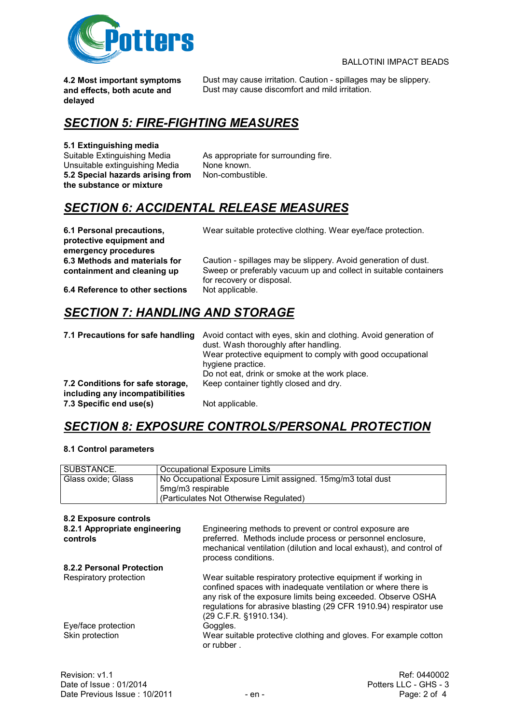

**4.2 Most important symptoms and effects, both acute and delayed**

Dust may cause irritation. Caution - spillages may be slippery. Dust may cause discomfort and mild irritation.

### *SECTION 5: FIRE-FIGHTING MEASURES*

## **5.1 Extinguishing media**

Unsuitable extinguishing Media **5.2 Special hazards arising from the substance or mixture**

As appropriate for surrounding fire.<br>None known. Non-combustible.

### *SECTION 6: ACCIDENTAL RELEASE MEASURES*

**6.1 Personal precautions, protective equipment and emergency procedures 6.3 Methods and materials for containment and cleaning up**

Wear suitable protective clothing. Wear eye/face protection.

Caution - spillages may be slippery. Avoid generation of dust. Sweep or preferably vacuum up and collect in suitable containers for recovery or disposal.

**6.4 Reference to other sections** Not applicable.

### *SECTION 7: HANDLING AND STORAGE*

| 7.1 Precautions for safe handling                                   | Avoid contact with eyes, skin and clothing. Avoid generation of<br>dust. Wash thoroughly after handling.<br>Wear protective equipment to comply with good occupational<br>hygiene practice.<br>Do not eat, drink or smoke at the work place. |
|---------------------------------------------------------------------|----------------------------------------------------------------------------------------------------------------------------------------------------------------------------------------------------------------------------------------------|
| 7.2 Conditions for safe storage,<br>including any incompatibilities | Keep container tightly closed and dry.                                                                                                                                                                                                       |
| 7.3 Specific end use(s)                                             | Not applicable.                                                                                                                                                                                                                              |

### *SECTION 8: EXPOSURE CONTROLS/PERSONAL PROTECTION*

#### **8.1 Control parameters**

| SUBSTANCE.         | Occupational Exposure Limits                                |
|--------------------|-------------------------------------------------------------|
| Glass oxide; Glass | No Occupational Exposure Limit assigned. 15mg/m3 total dust |
|                    | 5mg/m3 respirable                                           |
|                    | (Particulates Not Otherwise Regulated)                      |

#### **8.2 Exposure controls**

| 8.2.1 Appropriate engineering<br>controls | Engineering methods to prevent or control exposure are<br>preferred. Methods include process or personnel enclosure,<br>mechanical ventilation (dilution and local exhaust), and control of<br>process conditions.                                                                           |
|-------------------------------------------|----------------------------------------------------------------------------------------------------------------------------------------------------------------------------------------------------------------------------------------------------------------------------------------------|
| 8.2.2 Personal Protection                 |                                                                                                                                                                                                                                                                                              |
| Respiratory protection                    | Wear suitable respiratory protective equipment if working in<br>confined spaces with inadequate ventilation or where there is<br>any risk of the exposure limits being exceeded. Observe OSHA<br>regulations for abrasive blasting (29 CFR 1910.94) respirator use<br>(29 C.F.R. §1910.134). |
| Eye/face protection                       | Goggles.                                                                                                                                                                                                                                                                                     |
| Skin protection                           | Wear suitable protective clothing and gloves. For example cotton<br>or rubber.                                                                                                                                                                                                               |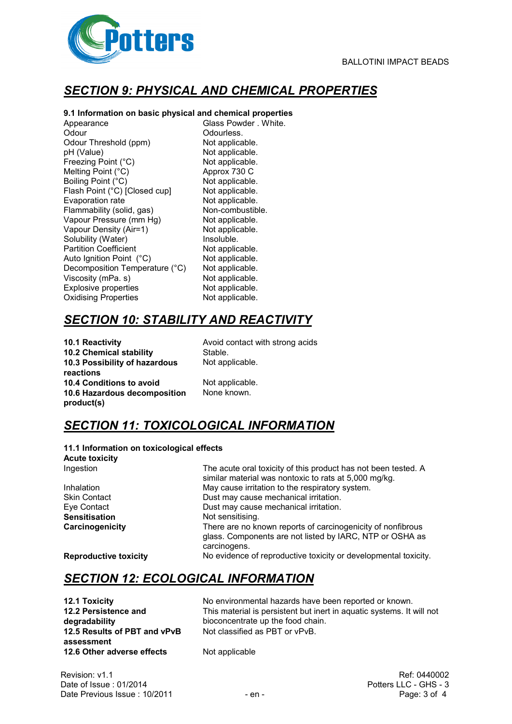

### *SECTION 9: PHYSICAL AND CHEMICAL PROPERTIES*

#### **9.1 Information on basic physical and chemical properties**

Appearance Glass Powder . White. Odour **Odourless.** Odour Threshold (ppm) Not applicable. pH (Value) Not applicable. Freezing Point (°C) <br>
Mot applicable.<br>
Melting Point (°C) <br>
Mot Approx 730 C Melting Point  $(^{\circ}C)$ Boiling Point (°C) Not applicable. Flash Point (°C) [Closed cup] Not applicable. Evaporation rate **Not applicable.**<br>
Flammability (solid, gas) Non-combustible. Flammability (solid, gas) Vapour Pressure (mm Hg) Not applicable. Vapour Density (Air=1) Not applicable.<br>
Solubility (Water) Soluble. Solubility (Water) **Insoluble**<br> **Partition Coefficient Insolution** Not applicable. Partition Coefficient **Not applicable.**<br>
Auto Ignition Point (°C) Not applicable. Auto Ignition Point (°C) Not applicable.<br>Decomposition Temperature (°C) Not applicable. Decomposition Temperature (°C) Not applicable.<br>Viscosity (mPa. s) Not applicable. Viscosity ( $mPa. s$ ) Explosive properties Not applicable. Oxidising Properties Not applicable.

### *SECTION 10: STABILITY AND REACTIVITY*

**10.1 Reactivity 10.1 Reactivity Avoid contact with strong acids 10.2 Chemical stability** Stable. **10.3 Possibility of hazardous reactions 10.4 Conditions to avoid** Not applicable. **10.6 Hazardous decomposition product(s)**

Not applicable.

None known.

### *SECTION 11: TOXICOLOGICAL INFORMATION*

| 11.1 Information on toxicological effects<br><b>Acute toxicity</b> |                                                                                                                                         |
|--------------------------------------------------------------------|-----------------------------------------------------------------------------------------------------------------------------------------|
| Ingestion                                                          | The acute oral toxicity of this product has not been tested. A<br>similar material was nontoxic to rats at 5,000 mg/kg.                 |
| Inhalation                                                         | May cause irritation to the respiratory system.                                                                                         |
| <b>Skin Contact</b>                                                | Dust may cause mechanical irritation.                                                                                                   |
| Eye Contact                                                        | Dust may cause mechanical irritation.                                                                                                   |
| <b>Sensitisation</b>                                               | Not sensitising.                                                                                                                        |
| Carcinogenicity                                                    | There are no known reports of carcinogenicity of nonfibrous<br>glass. Components are not listed by IARC, NTP or OSHA as<br>carcinogens. |
| <b>Reproductive toxicity</b>                                       | No evidence of reproductive toxicity or developmental toxicity.                                                                         |

### *SECTION 12: ECOLOGICAL INFORMATION*

**12.2 Persistence and degradability 12.5 Results of PBT and vPvB assessment 12.6 Other adverse effects** Not applicable

**12.1 Toxicity** No environmental hazards have been reported or known. This material is persistent but inert in aquatic systems. It will not bioconcentrate up the food chain. Not classified as PBT or vPvB.